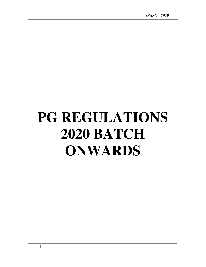# **PG REGULATIONS 2020 BATCH ONWARDS**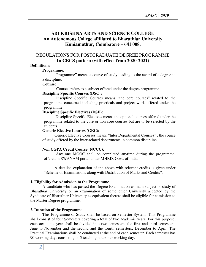# **SRI KRISHNA ARTS AND SCIENCE COLLEGE An Autonomous College affiliated to Bharathiar University Kuniamuthur, Coimbatore – 641 008.**

# REGULATIONS FOR POSTGRADUATE DEGREE PROGRAMME **In CBCS pattern (with effect from 2020-2021)**

## **Definitions:**

#### **Programme:**

"Programme" means a course of study leading to the award of a degree in a discipline.

#### **Course:**

"Course" refers to a subject offered under the degree programme.

## **Discipline Specific Courses (DSC):**

 Discipline Specific Courses means "the core courses" related to the programme concerned including practicals and project work offered under the programme.

## **Discipline Specific Electives (DSE):**

 Discipline Specific Electives means the optional courses offered under the programme related to the core or non core courses but are to be selected by the students.

## **Generic Elective Courses (GEC):**

Generic Elective Courses means "Inter Departmental Courses" , the course of study offered by the inter-related departments in common discipline.

## **Non CGPA Credit Course (NCCC):**

Any one MOOC shall be completed anytime during the programme, offered in SWAYAM portal under MHRD, Govt. of India.

 A detailed explanation of the above with relevant credits is given under "Scheme of Examinations along with Distribution of Marks and Credits".

#### **1. Eligibility for Admission to the Programme**

A candidate who has passed the Degree Examination as main subject of study of Bharathiar University or an examination of some other University accepted by the Syndicate of Bharathiar University as equivalent thereto shall be eligible for admission to the Master Degree programme.

## **2. Duration of the Programme**

 This Programme of Study shall be based on Semester System. This Programme shall consist of four Semesters covering a total of two academic years. For this purpose, each academic year shall be divided into two semesters; the first and third semesters; June to November and the second and the fourth semesters; December to April. The Practical Examinations shall be conducted at the end of each semester. Each semester has 90 working days consisting of 5 teaching hours per working day.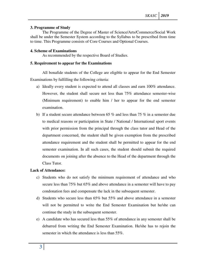#### **3. Programme of Study**

The Programme of the Degree of Master of Science/Arts/Commerce/Social Work shall be under the Semester System according to the Syllabus to be prescribed from time to time. This Programme consists of Core Courses and Optional Courses.

## **4. Scheme of Examinations**

As recommended by the respective Board of Studies.

## **5. Requirement to appear for the Examinations**

All bonafide students of the College are eligible to appear for the End Semester Examinations by fulfilling the following criteria:

- a) Ideally every student is expected to attend all classes and earn 100% attendance. However, the student shall secure not less than 75% attendance semester-wise (Minimum requirement) to enable him / her to appear for the end semester examination.
- b) If a student secure attendance between 65 % and less than 75 % in a semester due to medical reasons or participation in State / National / International sport events with prior permission from the principal through the class tutor and Head of the department concerned, the student shall be given exemption from the prescribed attendance requirement and the student shall be permitted to appear for the end semester examination. In all such cases, the student should submit the required documents on joining after the absence to the Head of the department through the Class Tutor.

#### **Lack of Attendance:**

- c) Students who do not satisfy the minimum requirement of attendance and who secure less than 75% but 65% and above attendance in a semester will have to pay condonation fees and compensate the lack in the subsequent semester.
- d) Students who secure less than 65% but 55% and above attendance in a semester will not be permitted to write the End Semester Examination but he/she can continue the study in the subsequent semester.
- e) A candidate who has secured less than 55% of attendance in any semester shall be debarred from writing the End Semester Examination. He/she has to rejoin the semester in which the attendance is less than 55%.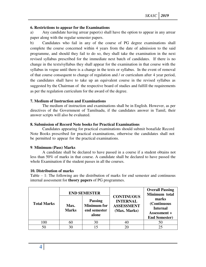## **6. Restrictions to appear for the Examinations**

a) Any candidate having arrear paper(s) shall have the option to appear in any arrear paper along with the regular semester papers.

b) Candidates who fail in any of the course of PG degree examinations shall complete the course concerned within 4 years from the date of admission to the said programme, and should they fail to do so, they shall take the examination in the next revised syllabus prescribed for the immediate next batch of candidates. If there is no change in the texts/syllabus they shall appear for the examination in that course with the syllabus in vogue until there is a change in the texts or syllabus. In the event of removal of that course consequent to change of regulation and / or curriculum after 4 year period, the candidates shall have to take up an equivalent course in the revised syllabus as suggested by the Chairman of the respective board of studies and fulfill the requirements as per the regulation curriculum for the award of the degree.

#### **7. Medium of Instruction and Examinations**

The medium of instruction and examinations shall be in English. However, as per directives of the Government of Tamilnadu, if the candidates answer in Tamil, their answer scripts will also be evaluated.

## **8. Submission of Record Note books for Practical Examinations**

Candidates appearing for practical examinations should submit bonafide Record Note Books prescribed for practical examinations, otherwise the candidates shall not be permitted to appear for the practical examinations.

#### **9**. **Minimum (Pass) Marks**

A candidate shall be declared to have passed in a course if a student obtains not less than 50% of marks in that course. A candidate shall be declared to have passed the whole Examination if the student passes in all the courses.

## **10. Distribution of marks**

Table – 1: The following are the distribution of marks for end semester and continuous internal assessment for **theory papers** of PG programmes.

| <b>Total Marks</b> | Max.<br><b>Marks</b> | <b>END SEMESTER</b><br><b>Passing</b><br><b>Minimum</b> for<br>end semester<br>alone | <b>CONTINUOUS</b><br><b>INTERNAL</b><br><b>ASSESSMENT</b><br>(Max. Marks) | <b>Overall Passing</b><br>Minimum total<br>marks<br>(Continuous<br><b>Internal</b><br><b>Assessment +</b><br><b>End Semester)</b> |
|--------------------|----------------------|--------------------------------------------------------------------------------------|---------------------------------------------------------------------------|-----------------------------------------------------------------------------------------------------------------------------------|
| 100                | 60                   | 30                                                                                   |                                                                           | 50                                                                                                                                |
| 50                 | 30                   | 15                                                                                   |                                                                           | 25                                                                                                                                |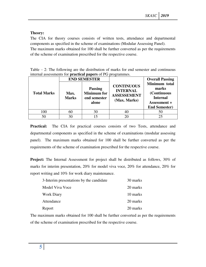## **Theory:**

The CIA for theory courses consists of written tests, attendance and departmental components as specified in the scheme of examinations (Modular Assessing Panel). The maximum marks obtained for 100 shall be further converted as per the requirements of the scheme of examination prescribed for the respective course.

|  |  | Table $-2$ : The following are the distribution of marks for end semester and continuous |  |  |  |  |
|--|--|------------------------------------------------------------------------------------------|--|--|--|--|
|  |  | internal assessments for <b>practical papers</b> of PG programmes.                       |  |  |  |  |

|                    |                      | <b>END SEMESTER</b>                                           |                                                                            | <b>Overall Passing</b>                                                                           |
|--------------------|----------------------|---------------------------------------------------------------|----------------------------------------------------------------------------|--------------------------------------------------------------------------------------------------|
| <b>Total Marks</b> | Max.<br><b>Marks</b> | <b>Passing</b><br><b>Minimum</b> for<br>end semester<br>alone | <b>CONTINUOUS</b><br><b>INTERNAL</b><br><b>ASSESSEMENT</b><br>(Max. Marks) | Minimum total<br>marks<br>(Continuous<br><b>Internal</b><br>Assessment +<br><b>End Semester)</b> |
| 100                | 60                   | 30                                                            |                                                                            | 50                                                                                               |
| 50                 | 30                   | 15                                                            |                                                                            | 25                                                                                               |

Practical: The CIA for practical courses consists of two Tests, attendance and departmental components as specified in the scheme of examinations (modular assessing panel). The maximum marks obtained for 100 shall be further converted as per the requirements of the scheme of examination prescribed for the respective course.

**Project:** The Internal Assessment for project shall be distributed as follows, 30% of marks for interim presentation, 20% for model viva voce, 20% for attendance, 20% for report writing and 10% for work diary maintenance.

| 3-Interim presentations by the candidate | 30 marks |
|------------------------------------------|----------|
| Model Viva Voce                          | 20 marks |
| <b>Work Diary</b>                        | 10 marks |
| Attendance                               | 20 marks |
| Report                                   | 20 marks |

The maximum marks obtained for 100 shall be further converted as per the requirements of the scheme of examination prescribed for the respective course.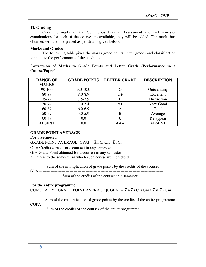## **11. Grading**

Once the marks of the Continuous Internal Assessment and end semester examinations for each of the course are available, they will be added. The mark thus obtained will then be graded as per details given below:

#### **Marks and Grades**

The following table gives the marks grade points, letter grades and classification to indicate the performance of the candidate.

## **Conversion of Marks to Grade Points and Letter Grade (Performance in a Course/Paper)**

| <b>RANGE OF</b> | <b>GRADE POINTS</b> | <b>LETTER GRADE</b> | <b>DESCRIPTION</b> |
|-----------------|---------------------|---------------------|--------------------|
| <b>MARKS</b>    |                     |                     |                    |
| 90-100          | $9.0 - 10.0$        |                     | Outstanding        |
| 80-89           | 8.0-8.9             | D+                  | Excellent          |
| 75-79           | $7.5 - 7.9$         | D                   | Distinction        |
| 70-74           | $7.0 - 7.4$         | A+                  | Very Good          |
| 60-69           | $6.0 - 6.9$         | A                   | Good               |
| 50-59           | $5.0 - 5.9$         | B                   | Average            |
| $00-49$         | 0.0                 | U                   | Re-appear          |
| <b>ABSENT</b>   | 0.0                 | A A A               | <b>ABSENT</b>      |

#### **GRADE POINT AVERAGE**

#### **For a Semester:**

GRADE POINT AVERAGE [GPA] **=** Σi Ci Gi / Σi Ci

 $Ci = C$  redits earned for a course i in any semester

Gi = Grade Point obtained for a course i in any semester

n = refers to the semester in which such course were credited

Sum of the multiplication of grade points by the credits of the courses

GPA = ------------------------------------------------------------------------------------------

Sum of the credits of the courses in a semester

#### **For the entire programme:**

CUMULATIVE GRADE POINT AVERAGE [CGPA] **=** ΣnΣi Cni Gni / Σn Σi Cni

Sum of the multiplication of grade points by the credits of the entire programme

Sum of the credits of the courses of the entire programme

CGPA = ------------------------------------------------------------------------------------------------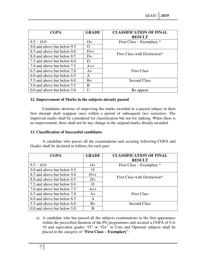| <b>CGPA</b>                 | <b>GRADE</b>  | <b>CLASSIFICATION OF FINAL</b><br><b>RESULT</b> |
|-----------------------------|---------------|-------------------------------------------------|
| $9.5 - 10.0$                | $O+$          | First Class – Exemplary $*$                     |
| 9.0 and above but below 9.5 | $\mathcal{L}$ |                                                 |
| 8.5 and above but below 9.0 | $D++$         | First Class with Distinction*                   |
| 8.0 and above but below 8.5 | D+            |                                                 |
| 7.5 and above but below 8.0 | D             |                                                 |
| 7.0 and above but below 7.5 | $A++$         |                                                 |
| 6.5 and above but below 7.0 | $A+$          | <b>First Class</b>                              |
| 6.0 and above but below 6.5 | A             |                                                 |
| 5.5 and above but below 6.0 | $B+$          | <b>Second Class</b>                             |
| 5.0 and above but below 5.5 | B             |                                                 |
| 0.0 and above but below 5.0 | H             | Re-appear                                       |

## **12. Improvement of Marks in the subjects already passed**

Candidates desirous of improving the marks awarded in a passed subject in their first attempt shall reappear once within a period of subsequent two semesters. The improved marks shall be considered for classification but not for ranking. When there is no improvement, there shall not be any change in the original marks already awarded.

#### **13. Classification of Successful candidates**

A candidate who passes all the examinations and securing following CGPA and Grades shall be declared as follows for each part:

| <b>CGPA</b>                 | <b>GRADE</b> | <b>CLASSIFICATION OF FINAL</b> |
|-----------------------------|--------------|--------------------------------|
|                             |              | <b>RESULT</b>                  |
| $9.5 - 10.0$                | $O+$         | First Class – Exemplary $*$    |
| 9.0 and above but below 9.5 | $\Omega$     |                                |
| 8.5 and above but below 9.0 | $D++$        | First Class with Distinction*  |
| 8.0 and above but below 8.5 | D+           |                                |
| 7.5 and above but below 8.0 | D            |                                |
| 7.0 and above but below 7.5 | $A++$        |                                |
| 6.5 and above but below 7.0 | $A+$         | <b>First Class</b>             |
| 6.0 and above but below 6.5 | A            |                                |
| 5.5 and above but below 6.0 | $B+$         | <b>Second Class</b>            |
| 0.0 and above but below 5.0 | В            |                                |

a) A candidate who has passed all the subjects examinations in the first appearance within the prescribed duration of the PG programmes and secured a CGPA of 9 to 10 and equivalent grades "O" or "O+" in Core and Optional subjects shall be placed in the category of "**First Class – Exemplary**".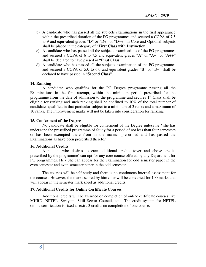- b) A candidate who has passed all the subjects examinations in the first appearance within the prescribed duration of the PG programmes and secured a CGPA of 7.5 to 9 and equivalent grades "D" or "D+" or "D++" in Core and Optional subjects shall be placed in the category of "**First Class with Distinction**".
- c) A candidate who has passed all the subjects examinations of the PG programmes and secured a CGPA of 6 to 7.5 and equivalent grades "A" or "A+" or "A++" shall be declared to have passed in "**First Class**".
- d) A candidate who has passed all the subjects examination of the PG programmes and secured a CGPA of 5.0 to 6.0 and equivalent grades "B" or "B+" shall be declared to have passed in "**Second Class**".

#### **14. Ranking**

A candidate who qualifies for the PG Degree programme passing all the Examinations in the first attempt, within the minimum period prescribed for the programme from the date of admission to the programme and secures  $1<sup>st</sup>$  Class shall be eligible for ranking and such ranking shall be confined to 10% of the total number of candidates qualified in that particular subject to a minimum of 3 ranks and a maximum of 10 ranks. The improvement marks will not be taken into consideration for ranking.

#### **15. Conferment of the Degree**

No candidate shall be eligible for conferment of the Degree unless he / she has undergone the prescribed programme of Study for a period of not less than four semesters or has been exempted there from in the manner prescribed and has passed the Examinations as have been prescribed therefor.

#### **16. Additional Credits**

A student who desires to earn additional credits (over and above credits prescribed by the programme) can opt for any core course offered by any Department for PG programmes. He / She can appear for the examination for odd semester paper in the even semester and even semester paper in the odd semester.

 The courses will be self study and there is no continuous internal assessment for the courses. However, the marks scored by him / her will be converted for 100 marks and will appear in the semester mark sheet as additional credits.

#### **17. Additional Credits for Online Certificate Courses**

 Additional credits will be awarded on completion of online certificate courses like MHRD, NPTEL, Swayam, Skill Sector Council, etc. The credit system for NPTEL online certification is fixed as extra 3 credits on completion of one course.